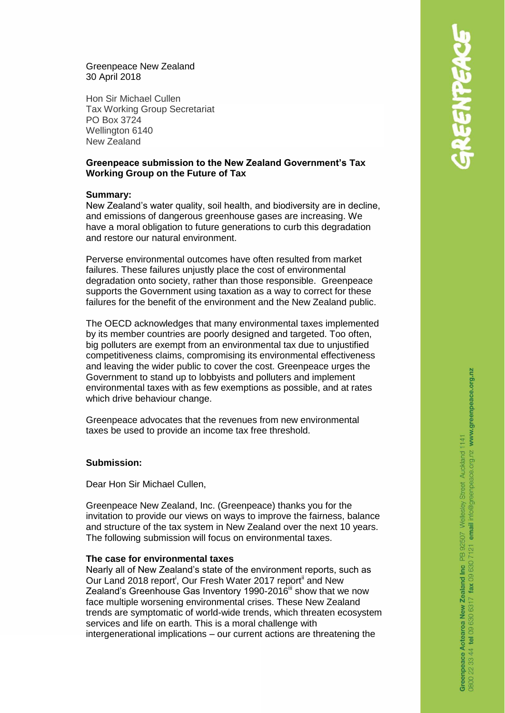### Greenpeace New Zealand 30 April 2018

Hon Sir Michael Cullen Tax Working Group Secretariat PO Box 3724 Wellington 6140 New Zealand

# **Greenpeace submission to the New Zealand Government's Tax Working Group on the Future of Tax**

### **Summary:**

New Zealand's water quality, soil health, and biodiversity are in decline, and emissions of dangerous greenhouse gases are increasing. We have a moral obligation to future generations to curb this degradation and restore our natural environment.

Perverse environmental outcomes have often resulted from market failures. These failures unjustly place the cost of environmental degradation onto society, rather than those responsible. Greenpeace supports the Government using taxation as a way to correct for these failures for the benefit of the environment and the New Zealand public.

The OECD acknowledges that many environmental taxes implemented by its member countries are poorly designed and targeted. Too often, big polluters are exempt from an environmental tax due to unjustified competitiveness claims, compromising its environmental effectiveness and leaving the wider public to cover the cost. Greenpeace urges the Government to stand up to lobbyists and polluters and implement environmental taxes with as few exemptions as possible, and at rates which drive behaviour change.

Greenpeace advocates that the revenues from new environmental taxes be used to provide an income tax free threshold.

# **Submission:**

Dear Hon Sir Michael Cullen,

Greenpeace New Zealand, Inc. (Greenpeace) thanks you for the invitation to provide our views on ways to improve the fairness, balance and structure of the tax system in New Zealand over the next 10 years. The following submission will focus on environmental taxes.

#### **The case for environmental taxes**

Nearly all of New Zealand's state of the environment reports, such as Our Land 2018 report<sup>i</sup>, Our Fresh Water 2017 report<sup>ii</sup> and New Zealand's Greenhouse Gas Inventory 1990-2016<sup>iii</sup> show that we now face multiple worsening environmental crises. These New Zealand trends are symptomatic of world-wide trends, which threaten ecosystem services and life on earth. This is a moral challenge with intergenerational implications – our current actions are threatening the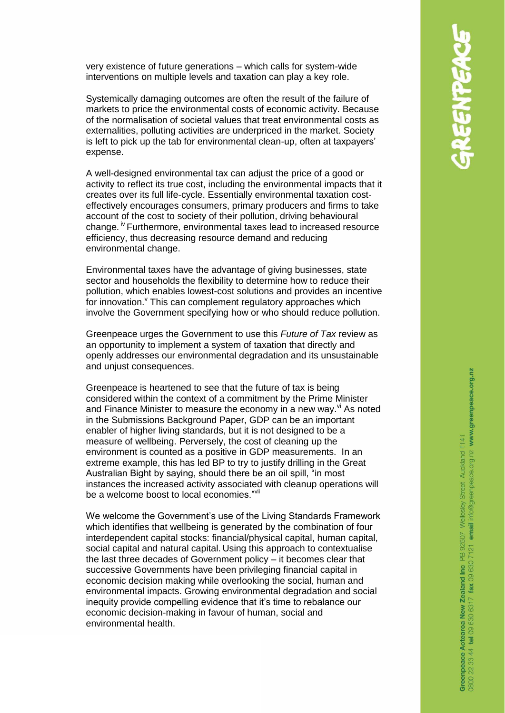very existence of future generations – which calls for system-wide interventions on multiple levels and taxation can play a key role.

Systemically damaging outcomes are often the result of the failure of markets to price the environmental costs of economic activity. Because of the normalisation of societal values that treat environmental costs as externalities, polluting activities are underpriced in the market. Society is left to pick up the tab for environmental clean-up, often at taxpayers' expense.

A well-designed environmental tax can adjust the price of a good or activity to reflect its true cost, including the environmental impacts that it creates over its full life-cycle. Essentially environmental taxation costeffectively encourages consumers, primary producers and firms to take account of the cost to society of their pollution, driving behavioural change. iv Furthermore, environmental taxes lead to increased resource efficiency, thus decreasing resource demand and reducing environmental change.

Environmental taxes have the advantage of giving businesses, state sector and households the flexibility to determine how to reduce their pollution, which enables lowest-cost solutions and provides an incentive for innovation.<sup>V</sup> This can complement regulatory approaches which involve the Government specifying how or who should reduce pollution.

Greenpeace urges the Government to use this *Future of Tax* review as an opportunity to implement a system of taxation that directly and openly addresses our environmental degradation and its unsustainable and unjust consequences.

Greenpeace is heartened to see that the future of tax is being considered within the context of a commitment by the Prime Minister and Finance Minister to measure the economy in a new way. $\mathbf{v}^{\mathsf{v}}$  As noted in the Submissions Background Paper, GDP can be an important enabler of higher living standards, but it is not designed to be a measure of wellbeing. Perversely, the cost of cleaning up the environment is counted as a positive in GDP measurements. In an extreme example, this has led BP to try to justify drilling in the Great Australian Bight by saying, should there be an oil spill, "in most instances the increased activity associated with cleanup operations will be a welcome boost to local economies."<sup>vii</sup>

We welcome the Government's use of the Living Standards Framework which identifies that wellbeing is generated by the combination of four interdependent capital stocks: financial/physical capital, human capital, social capital and natural capital. Using this approach to contextualise the last three decades of Government policy – it becomes clear that successive Governments have been privileging financial capital in economic decision making while overlooking the social, human and environmental impacts. Growing environmental degradation and social inequity provide compelling evidence that it's time to rebalance our economic decision-making in favour of human, social and environmental health.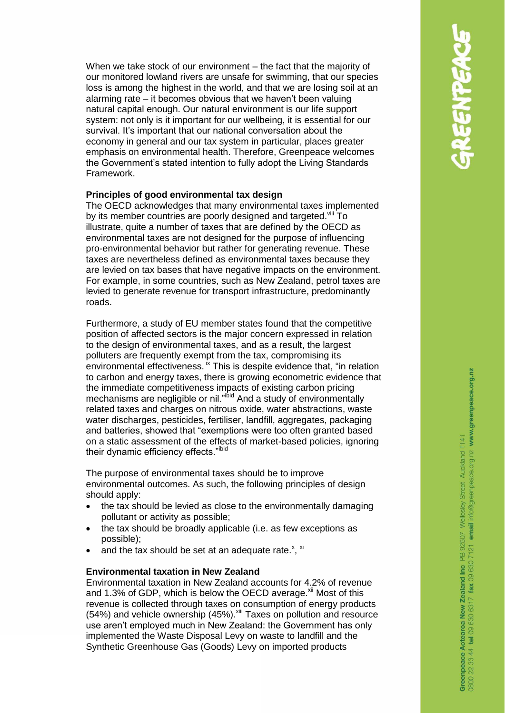When we take stock of our environment – the fact that the majority of our monitored lowland rivers are unsafe for swimming, that our species loss is among the highest in the world, and that we are losing soil at an alarming rate – it becomes obvious that we haven't been valuing natural capital enough. Our natural environment is our life support system: not only is it important for our wellbeing, it is essential for our survival. It's important that our national conversation about the economy in general and our tax system in particular, places greater emphasis on environmental health. Therefore, Greenpeace welcomes the Government's stated intention to fully adopt the Living Standards Framework.

# **Principles of good environmental tax design**

The OECD acknowledges that many environmental taxes implemented by its member countries are poorly designed and targeted. Vill To illustrate, quite a number of taxes that are defined by the OECD as environmental taxes are not designed for the purpose of influencing pro-environmental behavior but rather for generating revenue. These taxes are nevertheless defined as environmental taxes because they are levied on tax bases that have negative impacts on the environment. For example, in some countries, such as New Zealand, petrol taxes are levied to generate revenue for transport infrastructure, predominantly roads.

Furthermore, a study of EU member states found that the competitive position of affected sectors is the major concern expressed in relation to the design of environmental taxes, and as a result, the largest polluters are frequently exempt from the tax, compromising its environmental effectiveness. <sup>ix</sup> This is despite evidence that, "in relation to carbon and energy taxes, there is growing econometric evidence that the immediate competitiveness impacts of existing carbon pricing mechanisms are negligible or nil."ibid And a study of environmentally related taxes and charges on nitrous oxide, water abstractions, waste water discharges, pesticides, fertiliser, landfill, aggregates, packaging and batteries, showed that "exemptions were too often granted based on a static assessment of the effects of market-based policies, ignoring their dynamic efficiency effects."ibid

The purpose of environmental taxes should be to improve environmental outcomes. As such, the following principles of design should apply:

- the tax should be levied as close to the environmentally damaging pollutant or activity as possible;
- the tax should be broadly applicable (i.e. as few exceptions as possible);
- and the tax should be set at an adequate rate. $^{x}$ ,  $^{xi}$

### **Environmental taxation in New Zealand**

Environmental taxation in New Zealand accounts for 4.2% of revenue and 1.3% of GDP, which is below the OECD average. $\frac{x}{y}$  Most of this revenue is collected through taxes on consumption of energy products  $(54%)$  and vehicle ownership  $(45%)$ . Xiii Taxes on pollution and resource use aren't employed much in New Zealand: the Government has only implemented the Waste Disposal Levy on waste to landfill and the Synthetic Greenhouse Gas (Goods) Levy on imported products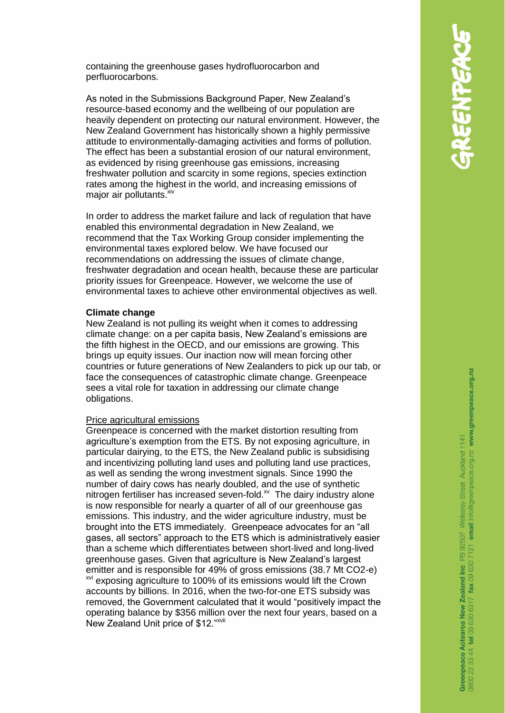containing the greenhouse gases hydrofluorocarbon and perfluorocarbons.

As noted in the Submissions Background Paper, New Zealand's resource-based economy and the wellbeing of our population are heavily dependent on protecting our natural environment. However, the New Zealand Government has historically shown a highly permissive attitude to environmentally-damaging activities and forms of pollution. The effect has been a substantial erosion of our natural environment, as evidenced by rising greenhouse gas emissions, increasing freshwater pollution and scarcity in some regions, species extinction rates among the highest in the world, and increasing emissions of major air pollutants.<sup>xiv</sup>

In order to address the market failure and lack of regulation that have enabled this environmental degradation in New Zealand, we recommend that the Tax Working Group consider implementing the environmental taxes explored below. We have focused our recommendations on addressing the issues of climate change, freshwater degradation and ocean health, because these are particular priority issues for Greenpeace. However, we welcome the use of environmental taxes to achieve other environmental objectives as well.

### **Climate change**

New Zealand is not pulling its weight when it comes to addressing climate change: on a per capita basis, New Zealand's emissions are the fifth highest in the OECD, and our emissions are growing. This brings up equity issues. Our inaction now will mean forcing other countries or future generations of New Zealanders to pick up our tab, or face the consequences of catastrophic climate change. Greenpeace sees a vital role for taxation in addressing our climate change obligations.

#### Price agricultural emissions

Greenpeace is concerned with the market distortion resulting from agriculture's exemption from the ETS. By not exposing agriculture, in particular dairying, to the ETS, the New Zealand public is subsidising and incentivizing polluting land uses and polluting land use practices, as well as sending the wrong investment signals. Since 1990 the number of dairy cows has nearly doubled, and the use of synthetic nitrogen fertiliser has increased seven-fold. $^{x}$  The dairy industry alone is now responsible for nearly a quarter of all of our greenhouse gas emissions. This industry, and the wider agriculture industry, must be brought into the ETS immediately. Greenpeace advocates for an "all gases, all sectors" approach to the ETS which is administratively easier than a scheme which differentiates between short-lived and long-lived greenhouse gases. Given that agriculture is New Zealand's largest emitter and is responsible for 49% of gross emissions (38.7 Mt CO2-e) <sup>xvi</sup> exposing agriculture to 100% of its emissions would lift the Crown accounts by billions. In 2016, when the two-for-one ETS subsidy was removed, the Government calculated that it would "positively impact the operating balance by \$356 million over the next four years, based on a New Zealand Unit price of \$12."<sup>xvii</sup>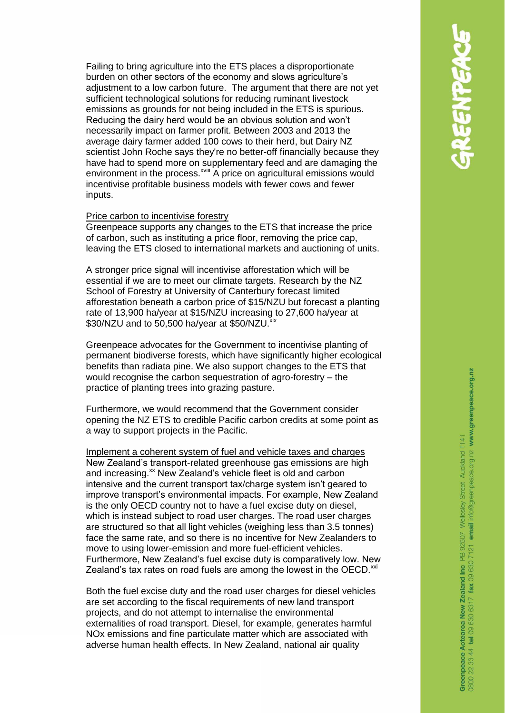Failing to bring agriculture into the ETS places a disproportionate burden on other sectors of the economy and slows agriculture's adjustment to a low carbon future. The argument that there are not yet sufficient technological solutions for reducing ruminant livestock emissions as grounds for not being included in the ETS is spurious. Reducing the dairy herd would be an obvious solution and won't necessarily impact on farmer profit. Between 2003 and 2013 the average dairy farmer added 100 cows to their herd, but Dairy NZ scientist John Roche says they're no better-off financially because they have had to spend more on supplementary feed and are damaging the environment in the process.<sup>xviii</sup> A price on agricultural emissions would incentivise profitable business models with fewer cows and fewer inputs.

#### Price carbon to incentivise forestry

Greenpeace supports any changes to the ETS that increase the price of carbon, such as instituting a price floor, removing the price cap, leaving the ETS closed to international markets and auctioning of units.

A stronger price signal will incentivise afforestation which will be essential if we are to meet our climate targets. Research by the NZ School of Forestry at University of Canterbury forecast limited afforestation beneath a carbon price of \$15/NZU but forecast a planting rate of 13,900 ha/year at \$15/NZU increasing to 27,600 ha/year at \$30/NZU and to 50,500 ha/year at \$50/NZU. xix

Greenpeace advocates for the Government to incentivise planting of permanent biodiverse forests, which have significantly higher ecological benefits than radiata pine. We also support changes to the ETS that would recognise the carbon sequestration of agro-forestry – the practice of planting trees into grazing pasture.

Furthermore, we would recommend that the Government consider opening the NZ ETS to credible Pacific carbon credits at some point as a way to support projects in the Pacific.

Implement a coherent system of fuel and vehicle taxes and charges New Zealand's transport-related greenhouse gas emissions are high and increasing.<sup>xx</sup> New Zealand's vehicle fleet is old and carbon intensive and the current transport tax/charge system isn't geared to improve transport's environmental impacts. For example, New Zealand is the only OECD country not to have a fuel excise duty on diesel, which is instead subject to road user charges. The road user charges are structured so that all light vehicles (weighing less than 3.5 tonnes) face the same rate, and so there is no incentive for New Zealanders to move to using lower-emission and more fuel-efficient vehicles. Furthermore, New Zealand's fuel excise duty is comparatively low. New Zealand's tax rates on road fuels are among the lowest in the OECD. $^{xxi}$ 

Both the fuel excise duty and the road user charges for diesel vehicles are set according to the fiscal requirements of new land transport projects, and do not attempt to internalise the environmental externalities of road transport. Diesel, for example, generates harmful NOx emissions and fine particulate matter which are associated with adverse human health effects. In New Zealand, national air quality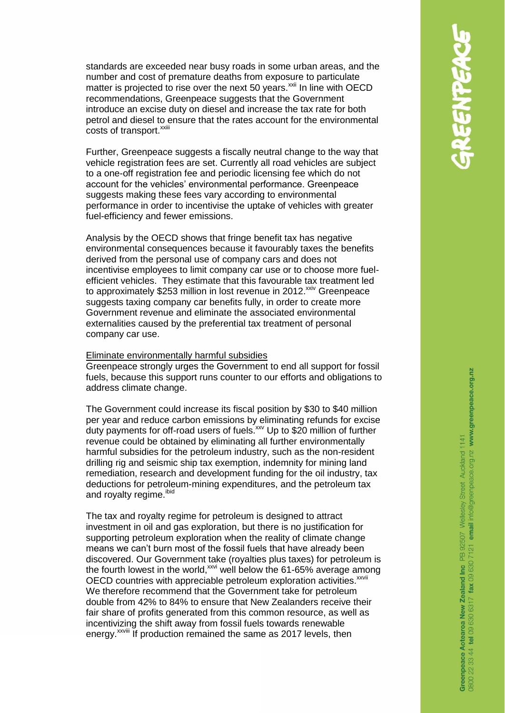standards are exceeded near busy roads in some urban areas, and the number and cost of premature deaths from exposure to particulate matter is projected to rise over the next 50 years.<sup>xxii</sup> In line with OECD recommendations, Greenpeace suggests that the Government introduce an excise duty on diesel and increase the tax rate for both petrol and diesel to ensure that the rates account for the environmental costs of transport.<sup>xxiii</sup>

Further, Greenpeace suggests a fiscally neutral change to the way that vehicle registration fees are set. Currently all road vehicles are subject to a one-off registration fee and periodic licensing fee which do not account for the vehicles' environmental performance. Greenpeace suggests making these fees vary according to environmental performance in order to incentivise the uptake of vehicles with greater fuel-efficiency and fewer emissions.

Analysis by the OECD shows that fringe benefit tax has negative environmental consequences because it favourably taxes the benefits derived from the personal use of company cars and does not incentivise employees to limit company car use or to choose more fuelefficient vehicles. They estimate that this favourable tax treatment led to approximately \$253 million in lost revenue in 2012.<sup>xxiv</sup> Greenpeace suggests taxing company car benefits fully, in order to create more Government revenue and eliminate the associated environmental externalities caused by the preferential tax treatment of personal company car use.

#### Eliminate environmentally harmful subsidies

Greenpeace strongly urges the Government to end all support for fossil fuels, because this support runs counter to our efforts and obligations to address climate change.

The Government could increase its fiscal position by \$30 to \$40 million per year and reduce carbon emissions by eliminating refunds for excise duty payments for off-road users of fuels.<sup>xxv</sup> Up to \$20 million of further revenue could be obtained by eliminating all further environmentally harmful subsidies for the petroleum industry, such as the non-resident drilling rig and seismic ship tax exemption, indemnity for mining land remediation, research and development funding for the oil industry, tax deductions for petroleum-mining expenditures, and the petroleum tax and royalty regime. ibid

The tax and royalty regime for petroleum is designed to attract investment in oil and gas exploration, but there is no justification for supporting petroleum exploration when the reality of climate change means we can't burn most of the fossil fuels that have already been discovered. Our Government take (royalties plus taxes) for petroleum is the fourth lowest in the world,  $xw$  well below the 61-65% average among OECD countries with appreciable petroleum exploration activities.<sup>xxvii</sup> We therefore recommend that the Government take for petroleum double from 42% to 84% to ensure that New Zealanders receive their fair share of profits generated from this common resource, as well as incentivizing the shift away from fossil fuels towards renewable energy.<sup>xxviii</sup> If production remained the same as 2017 levels, then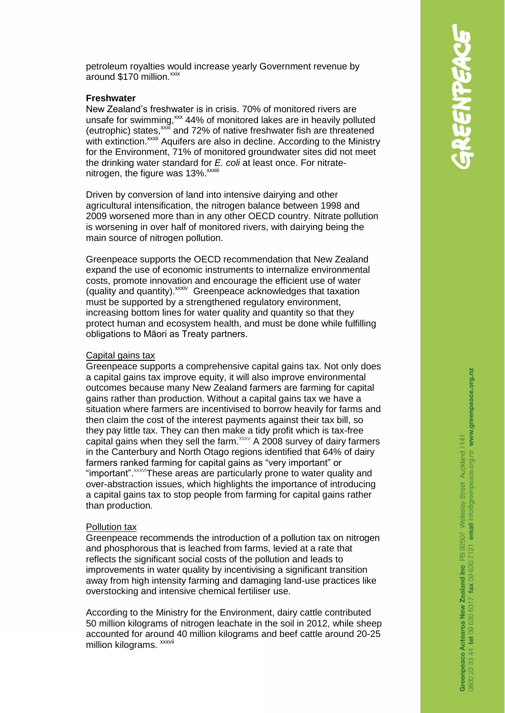petroleum royalties would increase yearly Government revenue by around  $$170$  million.<sup> $xxix$ </sup>

### **Freshwater**

New Zealand's freshwater is in crisis. 70% of monitored rivers are unsafe for swimming,<sup>xxx</sup> 44% of monitored lakes are in heavily polluted (eutrophic) states,  $x^2$  and 72% of native freshwater fish are threatened with extinction.<sup>xxxii</sup> Aquifers are also in decline. According to the Ministry for the Environment, 71% of monitored groundwater sites did not meet the drinking water standard for *E. coli* at least once. For nitratenitrogen, the figure was 13%.<sup>xxxiii</sup>

Driven by conversion of land into intensive dairying and other agricultural intensification, the nitrogen balance between 1998 and 2009 worsened more than in any other OECD country. Nitrate pollution is worsening in over half of monitored rivers, with dairying being the main source of nitrogen pollution.

Greenpeace supports the OECD recommendation that New Zealand expand the use of economic instruments to internalize environmental costs, promote innovation and encourage the efficient use of water (quality and quantity). <sup>xxxiv</sup> Greenpeace acknowledges that taxation must be supported by a strengthened regulatory environment, increasing bottom lines for water quality and quantity so that they protect human and ecosystem health, and must be done while fulfilling obligations to Māori as Treaty partners.

# Capital gains tax

Greenpeace supports a comprehensive capital gains tax. Not only does a capital gains tax improve equity, it will also improve environmental outcomes because many New Zealand farmers are farming for capital gains rather than production. Without a capital gains tax we have a situation where farmers are incentivised to borrow heavily for farms and then claim the cost of the interest payments against their tax bill, so they pay little tax. They can then make a tidy profit which is tax-free capital gains when they sell the farm. $xxy$  A 2008 survey of dairy farmers in the Canterbury and North Otago regions identified that 64% of dairy farmers ranked farming for capital gains as "very important" or "important".xxxviThese areas are particularly prone to water quality and over-abstraction issues, which highlights the importance of introducing a capital gains tax to stop people from farming for capital gains rather than production.

# Pollution tax

Greenpeace recommends the introduction of a pollution tax on nitrogen and phosphorous that is leached from farms, levied at a rate that reflects the significant social costs of the pollution and leads to improvements in water quality by incentivising a significant transition away from high intensity farming and damaging land-use practices like overstocking and intensive chemical fertiliser use.

According to the Ministry for the Environment, dairy cattle contributed 50 million kilograms of nitrogen leachate in the soil in 2012, while sheep accounted for around 40 million kilograms and beef cattle around 20-25 million kilograms. <sup>xxxvii</sup>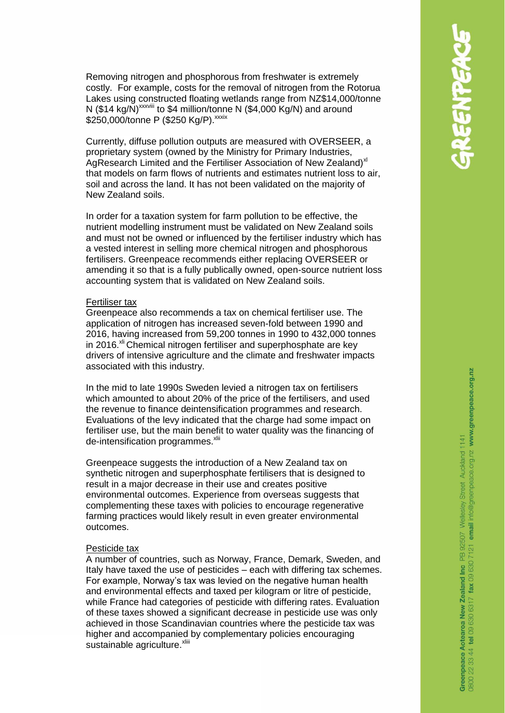Removing nitrogen and phosphorous from freshwater is extremely costly. For example, costs for the removal of nitrogen from the Rotorua Lakes using constructed floating wetlands range from NZ\$14,000/tonne N (\$14 kg/N)<sup>xxxviii</sup> to \$4 million/tonne N (\$4,000 Kg/N) and around \$250,000/tonne P (\$250 Kg/P). xxxix

Currently, diffuse pollution outputs are measured with OVERSEER, a proprietary system (owned by the Ministry for Primary Industries, [AgResearch Limited](http://www.agresearch.co.nz/) and the Fertiliser Association of New Zealand)<sup>x/</sup> that models on farm flows of nutrients and estimates nutrient loss to air, soil and across the land. It has not been validated on the majority of New Zealand soils.

In order for a taxation system for farm pollution to be effective, the nutrient modelling instrument must be validated on New Zealand soils and must not be owned or influenced by the fertiliser industry which has a vested interest in selling more chemical nitrogen and phosphorous fertilisers. Greenpeace recommends either replacing OVERSEER or amending it so that is a fully publically owned, open-source nutrient loss accounting system that is validated on New Zealand soils.

#### Fertiliser tax

Greenpeace also recommends a tax on chemical fertiliser use. The application of nitrogen has increased seven-fold between 1990 and 2016, having increased from 59,200 tonnes in 1990 to 432,000 tonnes in 2016. $x<sup>th</sup>$  Chemical nitrogen fertiliser and superphosphate are key drivers of intensive agriculture and the climate and freshwater impacts associated with this industry.

In the mid to late 1990s Sweden levied a nitrogen tax on fertilisers which amounted to about 20% of the price of the fertilisers, and used the revenue to finance deintensification programmes and research. Evaluations of the levy indicated that the charge had some impact on fertiliser use, but the main benefit to water quality was the financing of de-intensification programmes.<sup>xlii</sup>

Greenpeace suggests the introduction of a New Zealand tax on synthetic nitrogen and superphosphate fertilisers that is designed to result in a major decrease in their use and creates positive environmental outcomes. Experience from overseas suggests that complementing these taxes with policies to encourage regenerative farming practices would likely result in even greater environmental outcomes.

#### Pesticide tax

A number of countries, such as Norway, France, Demark, Sweden, and Italy have taxed the use of pesticides – each with differing tax schemes. For example, Norway's tax was levied on the negative human health and environmental effects and taxed per kilogram or litre of pesticide, while France had categories of pesticide with differing rates. Evaluation of these taxes showed a significant decrease in pesticide use was only achieved in those Scandinavian countries where the pesticide tax was higher and accompanied by complementary policies encouraging sustainable agriculture. <sup>xliii</sup>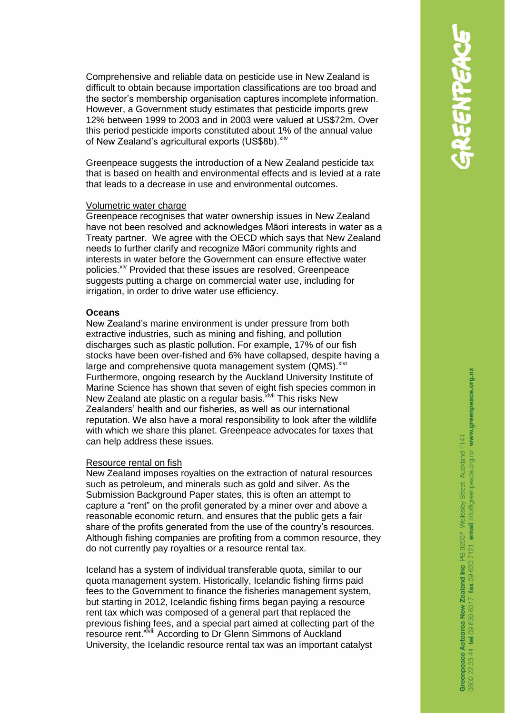Comprehensive and reliable data on pesticide use in New Zealand is difficult to obtain because importation classifications are too broad and the sector's membership organisation captures incomplete information. However, a Government study estimates that pesticide imports grew 12% between 1999 to 2003 and in 2003 were valued at US\$72m. Over this period pesticide imports constituted about 1% of the annual value of New Zealand's agricultural exports (US\$8b). Xiiv

Greenpeace suggests the introduction of a New Zealand pesticide tax that is based on health and environmental effects and is levied at a rate that leads to a decrease in use and environmental outcomes.

#### Volumetric water charge

Greenpeace recognises that water ownership issues in New Zealand have not been resolved and acknowledges Māori interests in water as a Treaty partner. We agree with the OECD which says that New Zealand needs to further clarify and recognize Māori community rights and interests in water before the Government can ensure effective water policies.<sup>xlv</sup> Provided that these issues are resolved, Greenpeace suggests putting a charge on commercial water use, including for irrigation, in order to drive water use efficiency.

# **Oceans**

New Zealand's marine environment is under pressure from both extractive industries, such as mining and fishing, and pollution discharges such as plastic pollution. For example, 17% of our fish stocks have been over-fished and 6% have collapsed, despite having a large and comprehensive quota management system (QMS). XIVi Furthermore, ongoing research by the Auckland University Institute of Marine Science has shown that seven of eight fish species common in New Zealand ate plastic on a regular basis. XIVII This risks New Zealanders' health and our fisheries, as well as our international reputation. We also have a moral responsibility to look after the wildlife with which we share this planet. Greenpeace advocates for taxes that can help address these issues.

#### Resource rental on fish

New Zealand imposes royalties on the extraction of natural resources such as petroleum, and minerals such as gold and silver. As the Submission Background Paper states, this is often an attempt to capture a "rent" on the profit generated by a miner over and above a reasonable economic return, and ensures that the public gets a fair share of the profits generated from the use of the country's resources. Although fishing companies are profiting from a common resource, they do not currently pay royalties or a resource rental tax.

Iceland has a system of individual transferable quota, similar to our quota management system. Historically, Icelandic fishing firms paid fees to the Government to finance the fisheries management system, but starting in 2012, Icelandic fishing firms began paying a resource rent tax which was composed of a general part that replaced the previous fishing fees, and a special part aimed at collecting part of the resource rent.<sup>xlviii</sup> According to Dr Glenn Simmons of Auckland University, the Icelandic resource rental tax was an important catalyst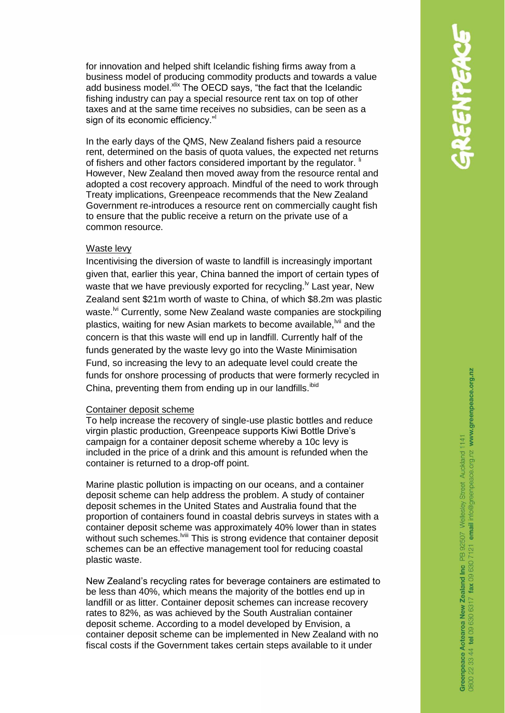for innovation and helped shift Icelandic fishing firms away from a business model of producing commodity products and towards a value add business model. Xix The OECD says, "the fact that the Icelandic fishing industry can pay a special resource rent tax on top of other taxes and at the same time receives no subsidies, can be seen as a sign of its economic efficiency."

In the early days of the QMS, New Zealand fishers paid a resource rent, determined on the basis of quota values, the expected net returns of fishers and other factors considered important by the regulator. <sup>ii</sup> However, New Zealand then moved away from the resource rental and adopted a cost recovery approach. Mindful of the need to work through Treaty implications, Greenpeace recommends that the New Zealand Government re-introduces a resource rent on commercially caught fish to ensure that the public receive a return on the private use of a common resource.

### Waste levy

Incentivising the diversion of waste to landfill is increasingly important given that, earlier this year, China banned the import of certain types of waste that we have previously exported for recycling.<sup> $\mu$ </sup> Last year, New Zealand sent \$21m worth of waste to China, of which \$8.2m was plastic waste.<sup>M</sup> Currently, some New Zealand waste companies are stockpiling plastics, waiting for new Asian markets to become available, <sup>wij</sup> and the concern is that this waste will end up in landfill. Currently half of the funds generated by the waste levy go into the Waste Minimisation Fund, so increasing the levy to an adequate level could create the funds for onshore processing of products that were formerly recycled in China, preventing them from ending up in our landfills. ibid

### Container deposit scheme

To help increase the recovery of single-use plastic bottles and reduce virgin plastic production, Greenpeace supports Kiwi Bottle Drive's campaign for a container deposit scheme whereby a 10c levy is included in the price of a drink and this amount is refunded when the container is returned to a drop-off point.

Marine plastic pollution is impacting on our oceans, and a container deposit scheme can help address the problem. A study of container deposit schemes in the United States and Australia found that the proportion of containers found in coastal debris surveys in states with a container deposit scheme was approximately 40% lower than in states without such schemes.<sup>[vii]</sup> This is strong evidence that container deposit schemes can be an effective management tool for reducing coastal plastic waste.

New Zealand's recycling rates for beverage containers are estimated to be less than 40%, which means the majority of the bottles end up in landfill or as litter. Container deposit schemes can increase recovery rates to 82%, as was achieved by the South Australian container deposit scheme. According to a model developed by Envision, a container deposit scheme can be implemented in New Zealand with no fiscal costs if the Government takes certain steps available to it under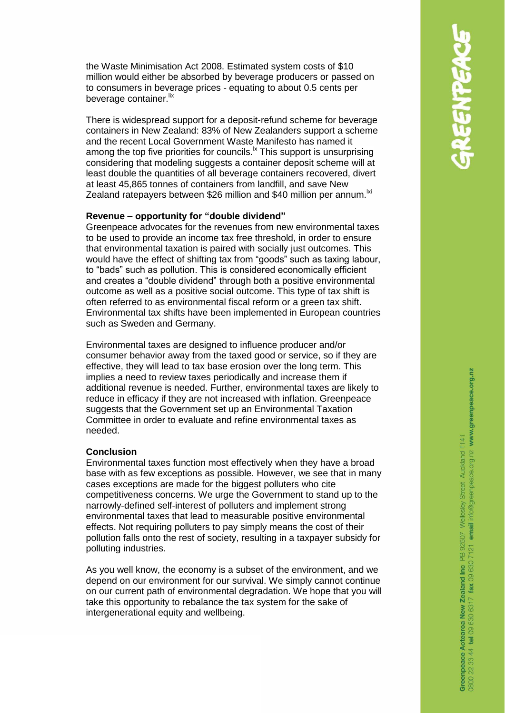the Waste Minimisation Act 2008. Estimated system costs of \$10 million would either be absorbed by beverage producers or passed on to consumers in beverage prices - equating to about 0.5 cents per beverage container.<sup>lix</sup>

There is widespread support for a deposit-refund scheme for beverage containers in New Zealand: 83% of New Zealanders support a scheme and the recent Local Government Waste Manifesto has named it among the top five priorities for councils.<sup>1x</sup> This support is unsurprising considering that modeling suggests a container deposit scheme will at least double the quantities of all beverage containers recovered, divert at least 45,865 tonnes of containers from landfill, and save New Zealand ratepayers between \$26 million and \$40 million per annum.<sup>Ixi</sup>

# **Revenue – opportunity for "double dividend"**

Greenpeace advocates for the revenues from new environmental taxes to be used to provide an income tax free threshold, in order to ensure that environmental taxation is paired with socially just outcomes. This would have the effect of shifting tax from "goods" such as taxing labour, to "bads" such as pollution. This is considered economically efficient and creates a "double dividend" through both a positive environmental outcome as well as a positive social outcome. This type of tax shift is often referred to as environmental fiscal reform or a green tax shift. Environmental tax shifts have been implemented in European countries such as Sweden and Germany.

Environmental taxes are designed to influence producer and/or consumer behavior away from the taxed good or service, so if they are effective, they will lead to tax base erosion over the long term. This implies a need to review taxes periodically and increase them if additional revenue is needed. Further, environmental taxes are likely to reduce in efficacy if they are not increased with inflation. Greenpeace suggests that the Government set up an Environmental Taxation Committee in order to evaluate and refine environmental taxes as needed.

### **Conclusion**

Environmental taxes function most effectively when they have a broad base with as few exceptions as possible. However, we see that in many cases exceptions are made for the biggest polluters who cite competitiveness concerns. We urge the Government to stand up to the narrowly-defined self-interest of polluters and implement strong environmental taxes that lead to measurable positive environmental effects. Not requiring polluters to pay simply means the cost of their pollution falls onto the rest of society, resulting in a taxpayer subsidy for polluting industries.

As you well know, the economy is a subset of the environment, and we depend on our environment for our survival. We simply cannot continue on our current path of environmental degradation. We hope that you will take this opportunity to rebalance the tax system for the sake of intergenerational equity and wellbeing.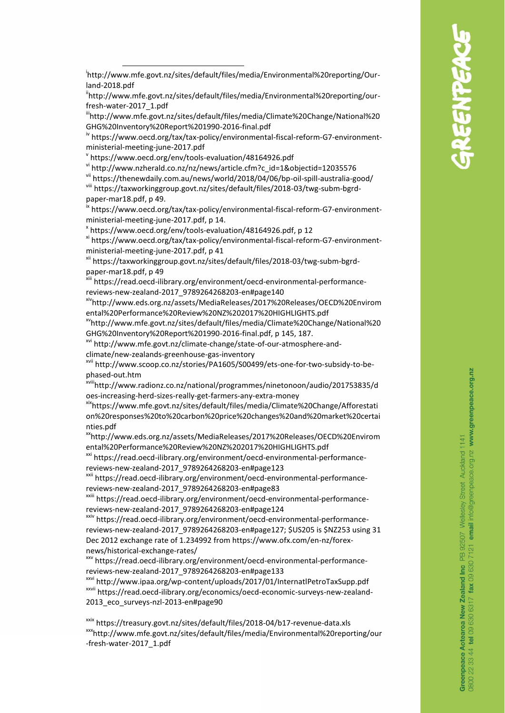ihttp://www.mfe.govt.nz/sites/default/files/media/Environmental%20reporting/ourfresh-water-2017\_1.pdf

iiihttp://www.mfe.govt.nz/sites/default/files/media/Climate%20Change/National%20 GHG%20Inventory%20Report%201990-2016-final.pdf

iv https://www.oecd.org/tax/tax-policy/environmental-fiscal-reform-G7-environmentministerial-meeting-june-2017.pdf

v https://www.oecd.org/env/tools-evaluation/48164926.pdf

vi http://www.nzherald.co.nz/nz/news/article.cfm?c\_id=1&objectid=12035576

vii https://thenewdaily.com.au/news/world/2018/04/06/bp-oil-spill-australia-good/ viii [https://taxworkinggroup.govt.nz/sites/default/files/2018-03/twg-subm-bgrd-](https://taxworkinggroup.govt.nz/sites/default/files/2018-03/twg-subm-bgrd-paper-mar18.pdf)

[paper-mar18.pdf,](https://taxworkinggroup.govt.nz/sites/default/files/2018-03/twg-subm-bgrd-paper-mar18.pdf) p 49.

-

ix [https://www.oecd.org/tax/tax-policy/environmental-fiscal-reform-G7-environment](https://www.oecd.org/tax/tax-policy/environmental-fiscal-reform-G7-environment-ministerial-meeting-june-2017.pdf)[ministerial-meeting-june-2017.pdf,](https://www.oecd.org/tax/tax-policy/environmental-fiscal-reform-G7-environment-ministerial-meeting-june-2017.pdf) p 14.

x [https://www.oecd.org/env/tools-evaluation/48164926.pdf,](https://www.oecd.org/env/tools-evaluation/48164926.pdf) p 12

xi [https://www.oecd.org/tax/tax-policy/environmental-fiscal-reform-G7-environment](https://www.oecd.org/tax/tax-policy/environmental-fiscal-reform-G7-environment-ministerial-meeting-june-2017.pdf)[ministerial-meeting-june-2017.pdf,](https://www.oecd.org/tax/tax-policy/environmental-fiscal-reform-G7-environment-ministerial-meeting-june-2017.pdf) p 41

xii [https://taxworkinggroup.govt.nz/sites/default/files/2018-03/twg-subm-bgrd](https://taxworkinggroup.govt.nz/sites/default/files/2018-03/twg-subm-bgrd-paper-mar18.pdf)[paper-mar18.pdf,](https://taxworkinggroup.govt.nz/sites/default/files/2018-03/twg-subm-bgrd-paper-mar18.pdf) p 49

xiii https://read.oecd-ilibrary.org/environment/oecd-environmental-performancereviews-new-zealand-2017\_9789264268203-en#page140

xivhttp://www.eds.org.nz/assets/MediaReleases/2017%20Releases/OECD%20Envirom ental%20Performance%20Review%20NZ%202017%20HIGHLIGHTS.pdf

xv[http://www.mfe.govt.nz/sites/default/files/media/Climate%20Change/National%20](http://www.mfe.govt.nz/sites/default/files/media/Climate%20Change/National%20GHG%20Inventory%20Report%201990-2016-final.pdf) [GHG%20Inventory%20Report%201990-2016-final.pdf,](http://www.mfe.govt.nz/sites/default/files/media/Climate%20Change/National%20GHG%20Inventory%20Report%201990-2016-final.pdf) p 145, 187.

xvi http://www.mfe.govt.nz/climate-change/state-of-our-atmosphere-andclimate/new-zealands-greenhouse-gas-inventory

xvii http://www.scoop.co.nz/stories/PA1605/S00499/ets-one-for-two-subsidy-to-bephased-out.htm

xviiihttp://www.radionz.co.nz/national/programmes/ninetonoon/audio/201753835/d oes-increasing-herd-sizes-really-get-farmers-any-extra-money

xix[https://www.mfe.govt.nz/sites/default/files/media/Climate%20Change/Afforestati](https://www.mfe.govt.nz/sites/default/files/media/Climate%20Change/Afforestation%20responses%20to%20carbon%20price%20changes%20and%20market%20certainties.pdf) [on%20responses%20to%20carbon%20price%20changes%20and%20market%20certai](https://www.mfe.govt.nz/sites/default/files/media/Climate%20Change/Afforestation%20responses%20to%20carbon%20price%20changes%20and%20market%20certainties.pdf) [nties.pdf](https://www.mfe.govt.nz/sites/default/files/media/Climate%20Change/Afforestation%20responses%20to%20carbon%20price%20changes%20and%20market%20certainties.pdf)

xxhttp://www.eds.org.nz/assets/MediaReleases/2017%20Releases/OECD%20Envirom ental%20Performance%20Review%20NZ%202017%20HIGHLIGHTS.pdf

xxi https://read.oecd-ilibrary.org/environment/oecd-environmental-performancereviews-new-zealand-2017\_9789264268203-en#page123

xxii https://read.oecd-ilibrary.org/environment/oecd-environmental-performancereviews-new-zealand-2017\_9789264268203-en#page83

xxiii https://read.oecd-ilibrary.org/environment/oecd-environmental-performancereviews-new-zealand-2017\_9789264268203-en#page124

xxiv [https://read.oecd-ilibrary.org/environment/oecd-environmental-performance](https://read.oecd-ilibrary.org/environment/oecd-environmental-performance-reviews-new-zealand-2017_9789264268203-en#page127)[reviews-new-zealand-2017\\_9789264268203-en#page127;](https://read.oecd-ilibrary.org/environment/oecd-environmental-performance-reviews-new-zealand-2017_9789264268203-en#page127) \$US205 is \$NZ253 using 31 Dec 2012 exchange rate of 1.234992 from https://www.ofx.com/en-nz/forexnews/historical-exchange-rates/

xxv https://read.oecd-ilibrary.org/environment/oecd-environmental-performancereviews-new-zealand-2017\_9789264268203-en#page133

xxvi http://www.ipaa.org/wp-content/uploads/2017/01/InternatlPetroTaxSupp.pdf xxvii https://read.oecd-ilibrary.org/economics/oecd-economic-surveys-new-zealand-2013\_eco\_surveys-nzl-2013-en#page90

xxix https://treasury.govt.nz/sites/default/files/2018-04/b17-revenue-data.xls xxxhttp://www.mfe.govt.nz/sites/default/files/media/Environmental%20reporting/our -fresh-water-2017\_1.pdf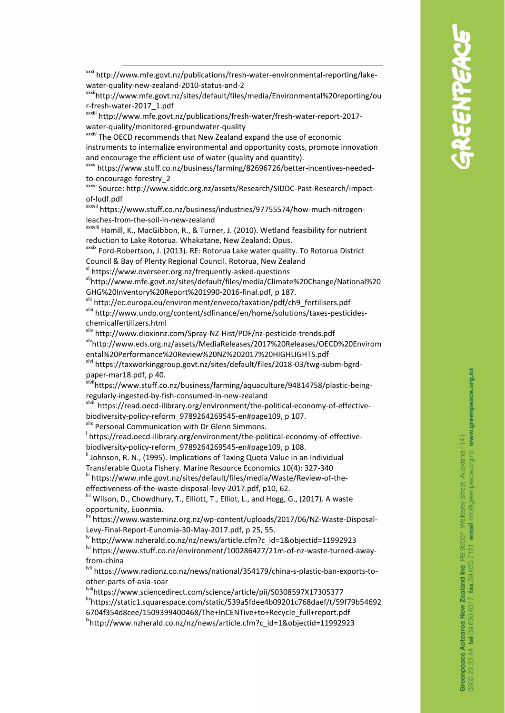xxxiihttp://www.mfe.govt.nz/sites/default/files/media/Environmental%20reporting/ou r-fresh-water-2017\_1.pdf

xxxiii http://www.mfe.govt.nz/publications/fresh-water/fresh-water-report-2017 water-quality/monitored-groundwater-quality

**xxxiv** The OECD recommends that New Zealand expand the use of economic instruments to internalize environmental and opportunity costs, promote innovation and encourage the efficient use of water (quality and quantity).

xxxv https://www.stuff.co.nz/business/farming/82696726/better-incentives-neededto-encourage-forestry\_2

xxxvi Source: http://www.siddc.org.nz/assets/Research/SIDDC-Past-Research/impactof-ludf.pdf

xxxvii https://www.stuff.co.nz/business/industries/97755574/how-much-nitrogenleaches-from-the-soil-in-new-zealand

xxxviii Hamill, K., MacGibbon, R., & Turner, J. (2010). Wetland feasibility for nutrient reduction to Lake Rotorua. Whakatane, New Zealand: Opus.

xxxix Ford-Robertson, J. (2013). RE: Rotorua Lake water quality. To Rotorua District Council & Bay of Plenty Regional Council. Rotorua, New Zealand

xl https://www.overseer.org.nz/frequently-asked-questions

-

xli[http://www.mfe.govt.nz/sites/default/files/media/Climate%20Change/National%20](http://www.mfe.govt.nz/sites/default/files/media/Climate%20Change/National%20GHG%20Inventory%20Report%201990-2016-final.pdf) [GHG%20Inventory%20Report%201990-2016-final.pdf,](http://www.mfe.govt.nz/sites/default/files/media/Climate%20Change/National%20GHG%20Inventory%20Report%201990-2016-final.pdf) p 187.

xlii [http://ec.europa.eu/environment/enveco/taxation/pdf/ch9\\_fertilisers.pdf](http://ec.europa.eu/environment/enveco/taxation/pdf/ch9_fertilisers.pdf) xliii http://www.undp.org/content/sdfinance/en/home/solutions/taxes-pesticideschemicalfertilizers.html

xliv http://www.dioxinnz.com/Spray-NZ-Hist/PDF/nz-pesticide-trends.pdf xlvhttp://www.eds.org.nz/assets/MediaReleases/2017%20Releases/OECD%20Envirom ental%20Performance%20Review%20NZ%202017%20HIGHLIGHTS.pdf

xlvi [https://taxworkinggroup.govt.nz/sites/default/files/2018-03/twg-subm-bgrd](https://taxworkinggroup.govt.nz/sites/default/files/2018-03/twg-subm-bgrd-paper-mar18.pdf)[paper-mar18.pdf,](https://taxworkinggroup.govt.nz/sites/default/files/2018-03/twg-subm-bgrd-paper-mar18.pdf) p 40.

xlviihttps://www.stuff.co.nz/business/farming/aquaculture/94814758/plastic-beingregularly-ingested-by-fish-consumed-in-new-zealand

xlviii [https://read.oecd-ilibrary.org/environment/the-political-economy-of-effective](https://read.oecd-ilibrary.org/environment/the-political-economy-of-effective-biodiversity-policy-reform_9789264269545-en#page109)[biodiversity-policy-reform\\_9789264269545-en#page109,](https://read.oecd-ilibrary.org/environment/the-political-economy-of-effective-biodiversity-policy-reform_9789264269545-en#page109) p 107.

xlix Personal Communication with Dr Glenn Simmons.

l [https://read.oecd-ilibrary.org/environment/the-political-economy-of-effective](https://read.oecd-ilibrary.org/environment/the-political-economy-of-effective-biodiversity-policy-reform_9789264269545-en#page109)[biodiversity-policy-reform\\_9789264269545-en#page109,](https://read.oecd-ilibrary.org/environment/the-political-economy-of-effective-biodiversity-policy-reform_9789264269545-en#page109) p 108.

<sup>ii</sup> Johnson, R. N., (1995). Implications of Taxing Quota Value in an Individual

Transferable Quota Fishery. Marine Resource Economics 10(4): 327-340

lii [https://www.mfe.govt.nz/sites/default/files/media/Waste/Review-of-the](https://www.mfe.govt.nz/sites/default/files/media/Waste/Review-of-the-effectiveness-of-the-waste-disposal-levy-2017.pdf)[effectiveness-of-the-waste-disposal-levy-2017.pdf,](https://www.mfe.govt.nz/sites/default/files/media/Waste/Review-of-the-effectiveness-of-the-waste-disposal-levy-2017.pdf) p10, 62.

Wilson, D., Chowdhury, T., Elliott, T., Elliot, L., and Hogg, G., (2017). A waste opportunity, Euonmia.

liv [https://www.wasteminz.org.nz/wp-content/uploads/2017/06/NZ-Waste-Disposal-](https://www.wasteminz.org.nz/wp-content/uploads/2017/06/NZ-Waste-Disposal-Levy-Final-Report-Eunomia-30-May-2017.pdf)[Levy-Final-Report-Eunomia-30-May-2017.pdf,](https://www.wasteminz.org.nz/wp-content/uploads/2017/06/NZ-Waste-Disposal-Levy-Final-Report-Eunomia-30-May-2017.pdf) p 25, 55.

<sup>lv</sup> [http://www.nzherald.co.nz/nz/news/article.cfm?c\\_id=1&objectid=11992923](http://www.nzherald.co.nz/nz/news/article.cfm?c_id=1&objectid=11992923) <sup>lvi</sup> https://www.stuff.co.nz/environment/100286427/21m-of-nz-waste-turned-away-

from-china

lvii https://www.radionz.co.nz/news/national/354179/china-s-plastic-ban-exports-toother-parts-of-asia-soar

lviii<https://www.sciencedirect.com/science/article/pii/S0308597X17305377> lixhttps://static1.squarespace.com/static/539a5fdee4b09201c768daef/t/59f79b54692 6704f354d8cee/1509399400468/The+InCENTive+to+Recycle\_full+report.pdf lxhttp://www.nzherald.co.nz/nz/news/article.cfm?c\_id=1&objectid=11992923